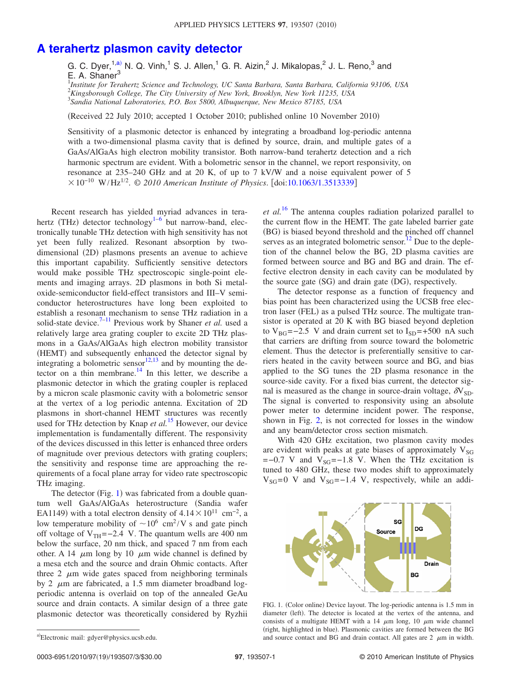## **[A terahertz plasmon cavity detector](http://dx.doi.org/10.1063/1.3513339)**

G. C. Dyer,<sup>1[,a](#page-0-0))</sup> N. Q. Vinh,<sup>1</sup> S. J. Allen,<sup>1</sup> G. R. Aizin,<sup>2</sup> J. Mikalopas,<sup>2</sup> J. L. Reno,<sup>3</sup> and E. A. Shaner<sup>3</sup>

1 *Institute for Terahertz Science and Technology, UC Santa Barbara, Santa Barbara, California 93106, USA* 2 *Kingsborough College, The City University of New York, Brooklyn, New York 11235, USA* 3 *Sandia National Laboratories, P.O. Box 5800, Albuquerque, New Mexico 87185, USA*

(Received 22 July 2010; accepted 1 October 2010; published online 10 November 2010)

Sensitivity of a plasmonic detector is enhanced by integrating a broadband log-periodic antenna with a two-dimensional plasma cavity that is defined by source, drain, and multiple gates of a GaAs/AlGaAs high electron mobility transistor. Both narrow-band terahertz detection and a rich harmonic spectrum are evident. With a bolometric sensor in the channel, we report responsivity, on resonance at 235–240 GHz and at 20 K, of up to 7 kV/W and a noise equivalent power of 5  $× 10^{-10}$  W/Hz<sup>1/2</sup>. © 2010 American Institute of Physics. [doi[:10.1063/1.3513339](http://dx.doi.org/10.1063/1.3513339)]

Recent research has yielded myriad advances in tera-hertz (THz) detector technology<sup>1[–6](#page-2-1)</sup> but narrow-band, electronically tunable THz detection with high sensitivity has not yet been fully realized. Resonant absorption by twodimensional (2D) plasmons presents an avenue to achieve this important capability. Sufficiently sensitive detectors would make possible THz spectroscopic single-point elements and imaging arrays. 2D plasmons in both Si metaloxide-semiconductor field-effect transistors and III–V semiconductor heterostructures have long been exploited to establish a resonant mechanism to sense THz radiation in a solid-state device.<sup>7–[11](#page-2-3)</sup> Previous work by Shaner *et al.* used a relatively large area grating coupler to excite 2D THz plasmons in a GaAs/AlGaAs high electron mobility transistor (HEMT) and subsequently enhanced the detector signal by integrating a bolometric sensor $^{12,13}$  $^{12,13}$  $^{12,13}$  and by mounting the detector on a thin membrane.<sup>14</sup> In this letter, we describe a plasmonic detector in which the grating coupler is replaced by a micron scale plasmonic cavity with a bolometric sensor at the vertex of a log periodic antenna. Excitation of 2D plasmons in short-channel HEMT structures was recently used for THz detection by Knap *et al.*<sup>[15](#page-2-7)</sup> However, our device implementation is fundamentally different. The responsivity of the devices discussed in this letter is enhanced three orders of magnitude over previous detectors with grating couplers; the sensitivity and response time are approaching the requirements of a focal plane array for video rate spectroscopic THz imaging.

The detector (Fig. [1](#page-0-1)) was fabricated from a double quantum well GaAs/AlGaAs heterostructure (Sandia wafer EA1149) with a total electron density of  $4.14 \times 10^{11}$  cm<sup>-2</sup>, a low temperature mobility of  $\sim 10^6$  cm<sup>2</sup>/V s and gate pinch off voltage of  $V_{TH}$ =−2.4 V. The quantum wells are 400 nm below the surface, 20 nm thick, and spaced 7 nm from each other. A 14  $\mu$ m long by 10  $\mu$ m wide channel is defined by a mesa etch and the source and drain Ohmic contacts. After three 2  $\mu$ m wide gates spaced from neighboring terminals by 2  $\mu$ m are fabricated, a 1.5 mm diameter broadband logperiodic antenna is overlaid on top of the annealed GeAu source and drain contacts. A similar design of a three gate plasmonic detector was theoretically considered by Ryzhii

*et al.*[16](#page-2-8) The antenna couples radiation polarized parallel to the current flow in the HEMT. The gate labeled barrier gate (BG) is biased beyond threshold and the pinched off channel serves as an integrated bolometric sensor.<sup>12</sup> Due to the depletion of the channel below the BG, 2D plasma cavities are formed between source and BG and BG and drain. The effective electron density in each cavity can be modulated by the source gate (SG) and drain gate (DG), respectively.

The detector response as a function of frequency and bias point has been characterized using the UCSB free electron laser (FEL) as a pulsed THz source. The multigate transistor is operated at 20 K with BG biased beyond depletion to V<sub>BG</sub>=−2.5 V and drain current set to  $I_{SD}$ =+500 nA such that carriers are drifting from source toward the bolometric element. Thus the detector is preferentially sensitive to carriers heated in the cavity between source and BG, and bias applied to the SG tunes the 2D plasma resonance in the source-side cavity. For a fixed bias current, the detector signal is measured as the change in source-drain voltage,  $\delta V_{SD}$ . The signal is converted to responsivity using an absolute power meter to determine incident power. The response, shown in Fig. [2,](#page-1-0) is not corrected for losses in the window and any beam/detector cross section mismatch.

With 420 GHz excitation, two plasmon cavity modes are evident with peaks at gate biases of approximately  $V_{SG}$  $=-0.7$  V and  $V_{SG}=-1.8$  V. When the THz excitation is tuned to 480 GHz, these two modes shift to approximately  $V_{SG}=0$  V and  $V_{SG}=-1.4$  V, respectively, while an addi-

<span id="page-0-1"></span>

FIG. 1. (Color online) Device layout. The log-periodic antenna is 1.5 mm in diameter (left). The detector is located at the vertex of the antenna, and consists of a multigate HEMT with a 14  $\mu$ m long, 10  $\mu$ m wide channel (right, highlighted in blue). Plasmonic cavities are formed between the BG and source contact and BG and drain contact. All gates are  $2 \mu m$  in width.

<span id="page-0-0"></span>a)Electronic mail: gdyer@physics.ucsb.edu.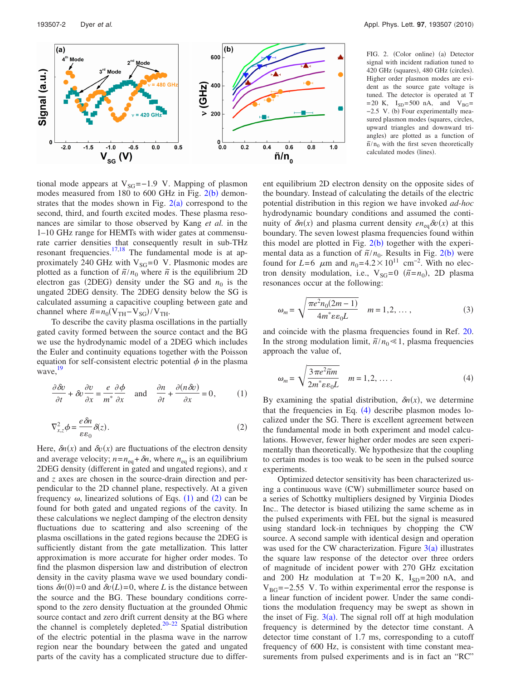<span id="page-1-0"></span>

FIG. 2. (Color online) (a) Detector signal with incident radiation tuned to 420 GHz (squares), 480 GHz (circles). Higher order plasmon modes are evident as the source gate voltage is tuned. The detector is operated at T  $= 20$  K,  $I_{SD} = 500$  nA, and  $V_{BG} =$ −2.5 V. (b) Four experimentally measured plasmon modes (squares, circles, upward triangles and downward triangles) are plotted as a function of  $\tilde{n}/n_0$  with the first seven theoretically calculated modes (lines).

tional mode appears at  $V_{SG}$ =−1.9 V. Mappin[g of p](#page-1-0)lasmon modes measured from  $180$  to  $600$  GHz in Fig.  $2(b)$  demonstrates that the modes shown in Fig.  $2(a)$  $2(a)$  correspond to the second, third, and fourth excited modes. These plasma resonances are similar to those observed by Kang *et al.* in the 1–10 GHz range for HEMTs with wider gates at commensurate carrier densities that consequently result in sub-THz resonant frequencies. $17,18$  $17,18$  The fundamental mode is at approximately 240 GHz with  $V_{SG}=0$  V. Plasmonic modes are plotted as a function of  $\tilde{n}/n_0$  where  $\tilde{n}$  is the equilibrium 2D electron gas  $(2DEG)$  density under the SG and  $n_0$  is the ungated 2DEG density. The 2DEG density below the SG is calculated assuming a capacitive coupling between gate and channel where  $\tilde{n} = n_0(V_{TH} - V_{SG})/V_{TH}$ .

<span id="page-1-1"></span>To describe the cavity plasma oscillations in the partially gated cavity formed between the source contact and the BG we use the hydrodynamic model of a 2DEG which includes the Euler and continuity equations together with the Poisson equation for self-consistent electric potential  $\phi$  in the plasma wave, <sup>[19](#page-2-11)</sup>

<span id="page-1-2"></span>
$$
\frac{\partial \delta v}{\partial t} + \delta v \frac{\partial v}{\partial x} = \frac{e}{m^*} \frac{\partial \phi}{\partial x} \quad \text{and} \quad \frac{\partial n}{\partial t} + \frac{\partial (n \delta v)}{\partial x} = 0,\tag{1}
$$

$$
\nabla_{x,z}^2 \phi = \frac{e \,\delta n}{\varepsilon \,\varepsilon_0} \,\delta(z). \tag{2}
$$

Here,  $\delta n(x)$  and  $\delta v(x)$  are fluctuations of the electron density and average velocity;  $n = n_{eq} + \delta n$ , where  $n_{eq}$  is an equilibrium 2DEG density (different in gated and ungated regions), and *x* and *z* axes are chosen in the source-drain direction and perpendicular to the 2D channel plane, respectively. At a given frequency  $\omega$ , linearized solutions of Eqs. ([1](#page-1-1)) and ([2](#page-1-2)) can be found for both gated and ungated regions of the cavity. In these calculations we neglect damping of the electron density fluctuations due to scattering and also screening of the plasma oscillations in the gated regions because the 2DEG is sufficiently distant from the gate metallization. This latter approximation is more accurate for higher order modes. To find the plasmon dispersion law and distribution of electron density in the cavity plasma wave we used boundary conditions  $\delta n(0) = 0$  and  $\delta v(L) = 0$ , where *L* is the distance between the source and the BG. These boundary conditions correspond to the zero density fluctuation at the grounded Ohmic source contact and zero drift current density at the BG where the channel is completely depleted.<sup>20–[22](#page-2-13)</sup> Spatial distribution of the electric potential in the plasma wave in the narrow region near the boundary between the gated and ungated parts of the cavity has a complicated structure due to different equilibrium 2D electron density on the opposite sides of the boundary. Instead of calculating the details of the electric potential distribution in this region we have invoked *ad-hoc* hydrodynamic boundary conditions and assumed the continuity of  $\delta n(x)$  and plasma current density  $e n_{eq} \delta v(x)$  at this boundary. The seven lowest plasma frequencies found within this model are plotted in Fig.  $2(b)$  $2(b)$  together with the experimental data as a function of  $\tilde{n}/n_0$ . Results in Fig. [2](#page-1-0)(b) were found for  $L=6$   $\mu$ m and  $n_0=4.2\times10^{11}$  cm<sup>-2</sup>. With no electron density modulation, i.e.,  $V_{SG}=0$  ( $\tilde{n}=n_0$ ), 2D plasma resonances occur at the following:

$$
\omega_m = \sqrt{\frac{\pi e^2 n_0 (2m - 1)}{4m^* \varepsilon \varepsilon_0 L}} \quad m = 1, 2, \dots,
$$
\n(3)

<span id="page-1-3"></span>and coincide with the plasma frequencies found in Ref. [20.](#page-2-12) In the strong modulation limit,  $\tilde{n}/n_0 \ll 1$ , plasma frequencies approach the value of,

$$
\omega_m = \sqrt{\frac{3\pi e^2 \tilde{n}m}{2m^* \epsilon \epsilon_0 L}} \quad m = 1, 2, \dots \tag{4}
$$

By examining the spatial distribution,  $\delta n(x)$ , we determine that the frequencies in Eq.  $(4)$  $(4)$  $(4)$  describe plasmon modes localized under the SG. There is excellent agreement between the fundamental mode in both experiment and model calculations. However, fewer higher order modes are seen experimentally than theoretically. We hypothesize that the coupling to certain modes is too weak to be seen in the pulsed source experiments.

Optimized detector sensitivity has been characterized using a continuous wave (CW) submillimeter source based on a series of Schottky multipliers designed by Virginia Diodes Inc.. The detector is biased utilizing the same scheme as in the pulsed experiments with FEL but the signal is measured using standard lock-in techniques by chopping the CW source. A second sample with identical design and operation was used for the CW characterization. Figure  $3(a)$  $3(a)$  illustrates the square law response of the detector over three orders of magnitude of incident power with 270 GHz excitation and 200 Hz modulation at  $T=20$  K,  $I_{SD}=200$  nA, and  $V_{BG}=-2.55$  V. To within experimental error the response is a linear function of incident power. Under the same conditions the modulation frequency may be swept as shown in the inset of Fig.  $3(a)$  $3(a)$ . The signal roll off at high modulation frequency is determined by the detector time constant. A detector time constant of 1.7 ms, corresponding to a cutoff frequency of 600 Hz, is consistent with time constant measurements from pulsed experiments and is in fact an "RC"